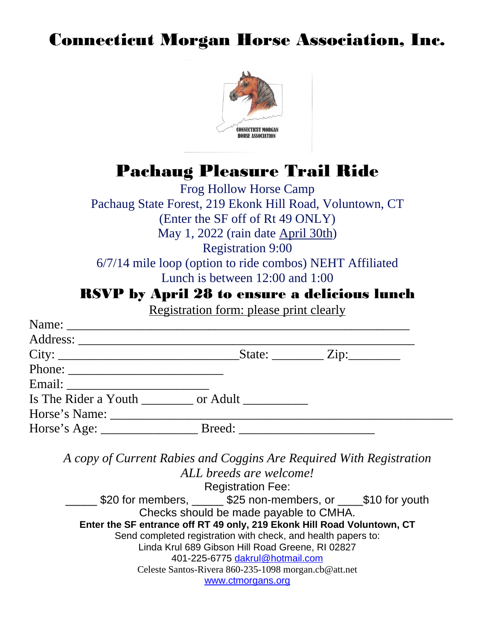## Connecticut Morgan Horse Association, Inc.



## Pachaug Pleasure Trail Ride

Frog Hollow Horse Camp Pachaug State Forest, 219 Ekonk Hill Road, Voluntown, CT (Enter the SF off of Rt 49 ONLY) May 1, 2022 (rain date April 30th) Registration 9:00 6/7/14 mile loop (option to ride combos) NEHT Affiliated Lunch is between 12:00 and 1:00

## RSVP by April 28 to ensure a delicious lunch

Registration form: please print clearly

|                                                                     | <u> 100 minutes - cannon process process (m. 1986)</u>                  |  |
|---------------------------------------------------------------------|-------------------------------------------------------------------------|--|
|                                                                     |                                                                         |  |
|                                                                     |                                                                         |  |
|                                                                     |                                                                         |  |
|                                                                     |                                                                         |  |
|                                                                     |                                                                         |  |
|                                                                     |                                                                         |  |
|                                                                     |                                                                         |  |
|                                                                     |                                                                         |  |
| A copy of Current Rabies and Coggins Are Required With Registration | ALL breeds are welcome!                                                 |  |
|                                                                     | <b>Registration Fee:</b>                                                |  |
|                                                                     | 520 for members, 10.15 \$25 non-members, or 10.15 \$10 for youth        |  |
|                                                                     | Checks should be made payable to CMHA.                                  |  |
|                                                                     | Enter the SF entrance off RT 49 only, 219 Ekonk Hill Road Voluntown, CT |  |
|                                                                     | Send completed registration with check, and health papers to:           |  |
|                                                                     | Linda Krul 689 Gibson Hill Road Greene, RI 02827                        |  |
|                                                                     | 401-225-6775 dakrul@hotmail.com                                         |  |
|                                                                     | Celeste Santos-Rivera 860-235-1098 morgan.cb@att.net                    |  |
|                                                                     | www.ctmorgans.org                                                       |  |